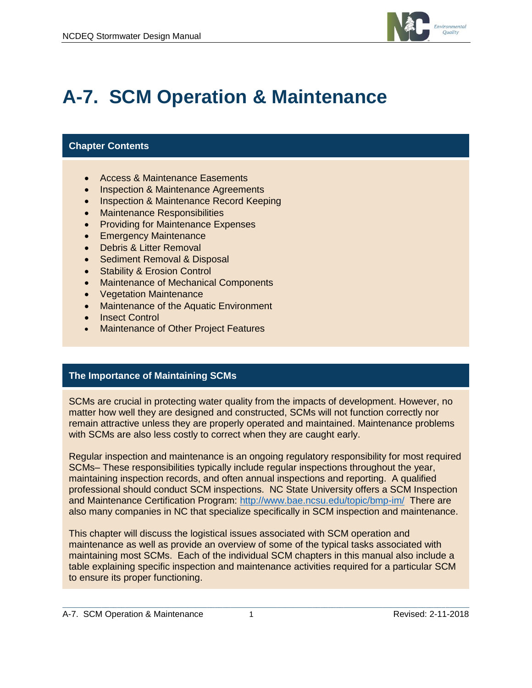

# **A-7. SCM Operation & Maintenance**

#### **Chapter Contents**

- Access & Maintenance Easements
- Inspection & Maintenance Agreements
- Inspection & Maintenance Record Keeping
- Maintenance Responsibilities
- Providing for Maintenance Expenses
- **Emergency Maintenance**
- Debris & Litter Removal
- Sediment Removal & Disposal
- Stability & Erosion Control
- Maintenance of Mechanical Components
- Vegetation Maintenance
- Maintenance of the Aquatic Environment
- Insect Control
- Maintenance of Other Project Features

#### **The Importance of Maintaining SCMs**

SCMs are crucial in protecting water quality from the impacts of development. However, no matter how well they are designed and constructed, SCMs will not function correctly nor remain attractive unless they are properly operated and maintained. Maintenance problems with SCMs are also less costly to correct when they are caught early.

Regular inspection and maintenance is an ongoing regulatory responsibility for most required SCMs– These responsibilities typically include regular inspections throughout the year, maintaining inspection records, and often annual inspections and reporting. A qualified professional should conduct SCM inspections. NC State University offers a SCM Inspection and Maintenance Certification Program:<http://www.bae.ncsu.edu/topic/bmp-im/> There are also many companies in NC that specialize specifically in SCM inspection and maintenance.

This chapter will discuss the logistical issues associated with SCM operation and maintenance as well as provide an overview of some of the typical tasks associated with maintaining most SCMs. Each of the individual SCM chapters in this manual also include a table explaining specific inspection and maintenance activities required for a particular SCM to ensure its proper functioning.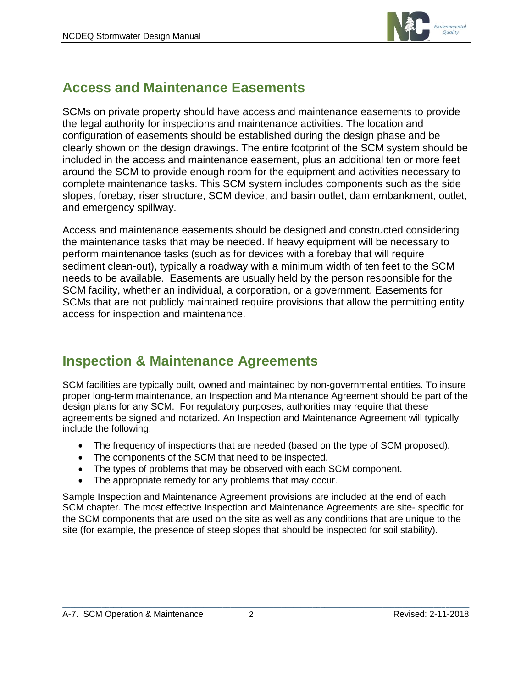

### **Access and Maintenance Easements**

SCMs on private property should have access and maintenance easements to provide the legal authority for inspections and maintenance activities. The location and configuration of easements should be established during the design phase and be clearly shown on the design drawings. The entire footprint of the SCM system should be included in the access and maintenance easement, plus an additional ten or more feet around the SCM to provide enough room for the equipment and activities necessary to complete maintenance tasks. This SCM system includes components such as the side slopes, forebay, riser structure, SCM device, and basin outlet, dam embankment, outlet, and emergency spillway.

Access and maintenance easements should be designed and constructed considering the maintenance tasks that may be needed. If heavy equipment will be necessary to perform maintenance tasks (such as for devices with a forebay that will require sediment clean-out), typically a roadway with a minimum width of ten feet to the SCM needs to be available. Easements are usually held by the person responsible for the SCM facility, whether an individual, a corporation, or a government. Easements for SCMs that are not publicly maintained require provisions that allow the permitting entity access for inspection and maintenance.

# **Inspection & Maintenance Agreements**

SCM facilities are typically built, owned and maintained by non-governmental entities. To insure proper long-term maintenance, an Inspection and Maintenance Agreement should be part of the design plans for any SCM. For regulatory purposes, authorities may require that these agreements be signed and notarized. An Inspection and Maintenance Agreement will typically include the following:

- The frequency of inspections that are needed (based on the type of SCM proposed).
- The components of the SCM that need to be inspected.
- The types of problems that may be observed with each SCM component.
- The appropriate remedy for any problems that may occur.

Sample Inspection and Maintenance Agreement provisions are included at the end of each SCM chapter. The most effective Inspection and Maintenance Agreements are site- specific for the SCM components that are used on the site as well as any conditions that are unique to the site (for example, the presence of steep slopes that should be inspected for soil stability).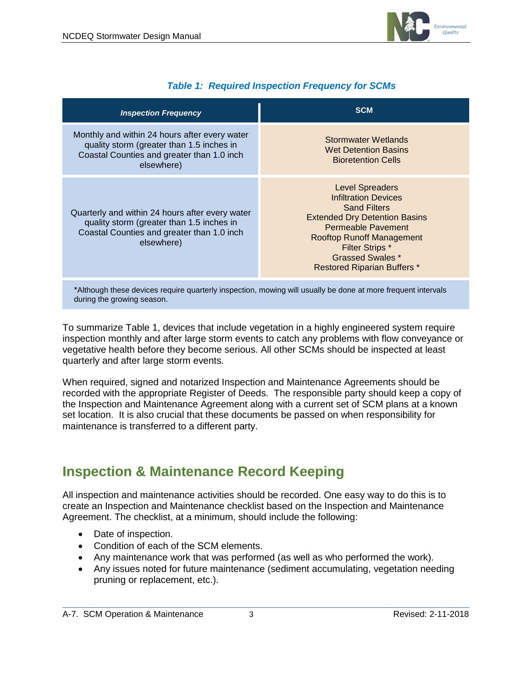

| <b>Inspection Frequency</b>                                                                                                                              | <b>SCM</b>                                                                                                                                                                                                                                                                       |
|----------------------------------------------------------------------------------------------------------------------------------------------------------|----------------------------------------------------------------------------------------------------------------------------------------------------------------------------------------------------------------------------------------------------------------------------------|
| Monthly and within 24 hours after every water<br>quality storm (greater than 1.5 inches in<br>Coastal Counties and greater than 1.0 inch<br>elsewhere)   | Stormwater Wetlands<br><b>Wet Detention Basins</b><br><b>Bioretention Cells</b>                                                                                                                                                                                                  |
| Quarterly and within 24 hours after every water<br>quality storm (greater than 1.5 inches in<br>Coastal Counties and greater than 1.0 inch<br>elsewhere) | <b>Level Spreaders</b><br><b>Infiltration Devices</b><br><b>Sand Filters</b><br><b>Extended Dry Detention Basins</b><br><b>Permeable Pavement</b><br><b>Rooftop Runoff Management</b><br><b>Filter Strips *</b><br><b>Grassed Swales *</b><br><b>Restored Riparian Buffers *</b> |
|                                                                                                                                                          | *Although these devices require quarterly inspection, mowing will usually be done at more frequent intervals                                                                                                                                                                     |

\*Although these devices require quarterly inspection, mowing will usually be done at more frequent intervals during the growing season.

To summarize Table 1, devices that include vegetation in a highly engineered system require inspection monthly and after large storm events to catch any problems with flow conveyance or vegetative health before they become serious. All other SCMs should be inspected at least quarterly and after large storm events.

When required, signed and notarized Inspection and Maintenance Agreements should be recorded with the appropriate Register of Deeds. The responsible party should keep a copy of the Inspection and Maintenance Agreement along with a current set of SCM plans at a known set location. It is also crucial that these documents be passed on when responsibility for maintenance is transferred to a different party.

### **Inspection & Maintenance Record Keeping**

All inspection and maintenance activities should be recorded. One easy way to do this is to create an Inspection and Maintenance checklist based on the Inspection and Maintenance Agreement. The checklist, at a minimum, should include the following:

- Date of inspection.
- Condition of each of the SCM elements.
- Any maintenance work that was performed (as well as who performed the work).
- Any issues noted for future maintenance (sediment accumulating, vegetation needing pruning or replacement, etc.).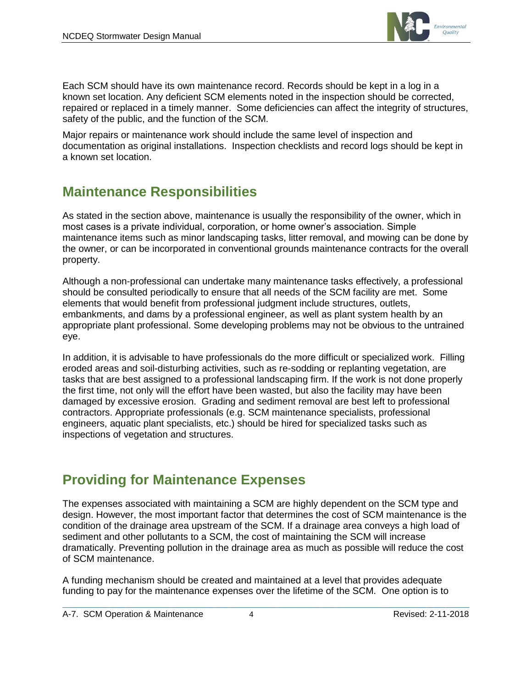

Each SCM should have its own maintenance record. Records should be kept in a log in a known set location. Any deficient SCM elements noted in the inspection should be corrected, repaired or replaced in a timely manner. Some deficiencies can affect the integrity of structures, safety of the public, and the function of the SCM.

Major repairs or maintenance work should include the same level of inspection and documentation as original installations. Inspection checklists and record logs should be kept in a known set location.

# **Maintenance Responsibilities**

As stated in the section above, maintenance is usually the responsibility of the owner, which in most cases is a private individual, corporation, or home owner's association. Simple maintenance items such as minor landscaping tasks, litter removal, and mowing can be done by the owner, or can be incorporated in conventional grounds maintenance contracts for the overall property.

Although a non-professional can undertake many maintenance tasks effectively, a professional should be consulted periodically to ensure that all needs of the SCM facility are met. Some elements that would benefit from professional judgment include structures, outlets, embankments, and dams by a professional engineer, as well as plant system health by an appropriate plant professional. Some developing problems may not be obvious to the untrained eye.

In addition, it is advisable to have professionals do the more difficult or specialized work. Filling eroded areas and soil-disturbing activities, such as re-sodding or replanting vegetation, are tasks that are best assigned to a professional landscaping firm. If the work is not done properly the first time, not only will the effort have been wasted, but also the facility may have been damaged by excessive erosion. Grading and sediment removal are best left to professional contractors. Appropriate professionals (e.g. SCM maintenance specialists, professional engineers, aquatic plant specialists, etc.) should be hired for specialized tasks such as inspections of vegetation and structures.

# **Providing for Maintenance Expenses**

The expenses associated with maintaining a SCM are highly dependent on the SCM type and design. However, the most important factor that determines the cost of SCM maintenance is the condition of the drainage area upstream of the SCM. If a drainage area conveys a high load of sediment and other pollutants to a SCM, the cost of maintaining the SCM will increase dramatically. Preventing pollution in the drainage area as much as possible will reduce the cost of SCM maintenance.

A funding mechanism should be created and maintained at a level that provides adequate funding to pay for the maintenance expenses over the lifetime of the SCM. One option is to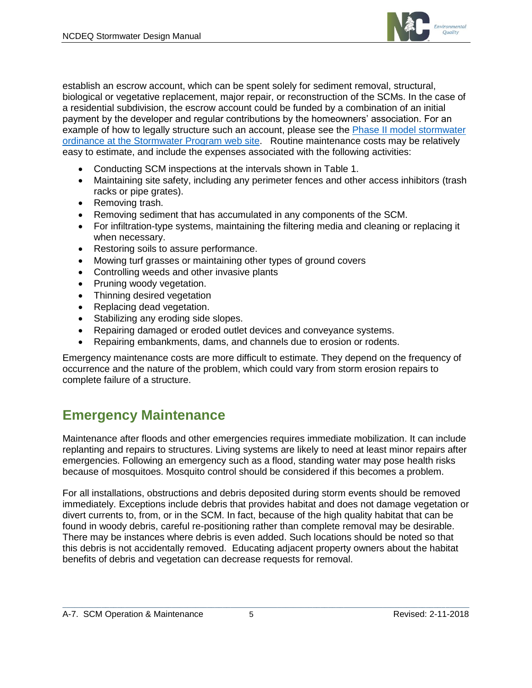

establish an escrow account, which can be spent solely for sediment removal, structural, biological or vegetative replacement, major repair, or reconstruction of the SCMs. In the case of a residential subdivision, the escrow account could be funded by a combination of an initial payment by the developer and regular contributions by the homeowners' association. For an example of how to legally structure such an account, please see the [Phase II model stormwater](https://deq.nc.gov/about/divisions/energy-mineral-land-resources/energy-mineral-land-permits/stormwater-permits/npdes-ms4)  [ordinance at the Stormwater Program](https://deq.nc.gov/about/divisions/energy-mineral-land-resources/energy-mineral-land-permits/stormwater-permits/npdes-ms4) web site. Routine maintenance costs may be relatively easy to estimate, and include the expenses associated with the following activities:

- Conducting SCM inspections at the intervals shown in Table 1.
- Maintaining site safety, including any perimeter fences and other access inhibitors (trash racks or pipe grates).
- Removing trash.
- Removing sediment that has accumulated in any components of the SCM.
- For infiltration-type systems, maintaining the filtering media and cleaning or replacing it when necessary.
- Restoring soils to assure performance.
- Mowing turf grasses or maintaining other types of ground covers
- Controlling weeds and other invasive plants
- Pruning woody vegetation.
- Thinning desired vegetation
- Replacing dead vegetation.
- Stabilizing any eroding side slopes.
- Repairing damaged or eroded outlet devices and conveyance systems.
- Repairing embankments, dams, and channels due to erosion or rodents.

Emergency maintenance costs are more difficult to estimate. They depend on the frequency of occurrence and the nature of the problem, which could vary from storm erosion repairs to complete failure of a structure.

# **Emergency Maintenance**

Maintenance after floods and other emergencies requires immediate mobilization. It can include replanting and repairs to structures. Living systems are likely to need at least minor repairs after emergencies. Following an emergency such as a flood, standing water may pose health risks because of mosquitoes. Mosquito control should be considered if this becomes a problem.

For all installations, obstructions and debris deposited during storm events should be removed immediately. Exceptions include debris that provides habitat and does not damage vegetation or divert currents to, from, or in the SCM. In fact, because of the high quality habitat that can be found in woody debris, careful re-positioning rather than complete removal may be desirable. There may be instances where debris is even added. Such locations should be noted so that this debris is not accidentally removed. Educating adjacent property owners about the habitat benefits of debris and vegetation can decrease requests for removal.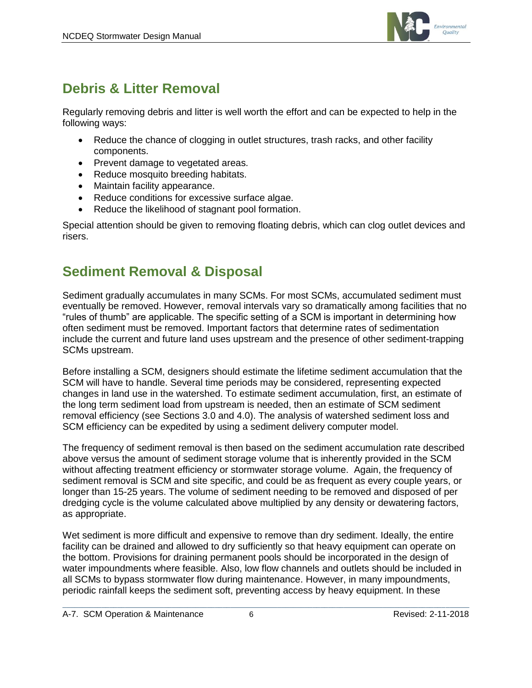

# **Debris & Litter Removal**

Regularly removing debris and litter is well worth the effort and can be expected to help in the following ways:

- Reduce the chance of clogging in outlet structures, trash racks, and other facility components.
- Prevent damage to vegetated areas.
- Reduce mosquito breeding habitats.
- Maintain facility appearance.
- Reduce conditions for excessive surface algae.
- Reduce the likelihood of stagnant pool formation.

Special attention should be given to removing floating debris, which can clog outlet devices and risers.

# **Sediment Removal & Disposal**

Sediment gradually accumulates in many SCMs. For most SCMs, accumulated sediment must eventually be removed. However, removal intervals vary so dramatically among facilities that no "rules of thumb" are applicable. The specific setting of a SCM is important in determining how often sediment must be removed. Important factors that determine rates of sedimentation include the current and future land uses upstream and the presence of other sediment-trapping SCMs upstream.

Before installing a SCM, designers should estimate the lifetime sediment accumulation that the SCM will have to handle. Several time periods may be considered, representing expected changes in land use in the watershed. To estimate sediment accumulation, first, an estimate of the long term sediment load from upstream is needed, then an estimate of SCM sediment removal efficiency (see Sections 3.0 and 4.0). The analysis of watershed sediment loss and SCM efficiency can be expedited by using a sediment delivery computer model.

The frequency of sediment removal is then based on the sediment accumulation rate described above versus the amount of sediment storage volume that is inherently provided in the SCM without affecting treatment efficiency or stormwater storage volume. Again, the frequency of sediment removal is SCM and site specific, and could be as frequent as every couple years, or longer than 15-25 years. The volume of sediment needing to be removed and disposed of per dredging cycle is the volume calculated above multiplied by any density or dewatering factors, as appropriate.

Wet sediment is more difficult and expensive to remove than dry sediment. Ideally, the entire facility can be drained and allowed to dry sufficiently so that heavy equipment can operate on the bottom. Provisions for draining permanent pools should be incorporated in the design of water impoundments where feasible. Also, low flow channels and outlets should be included in all SCMs to bypass stormwater flow during maintenance. However, in many impoundments, periodic rainfall keeps the sediment soft, preventing access by heavy equipment. In these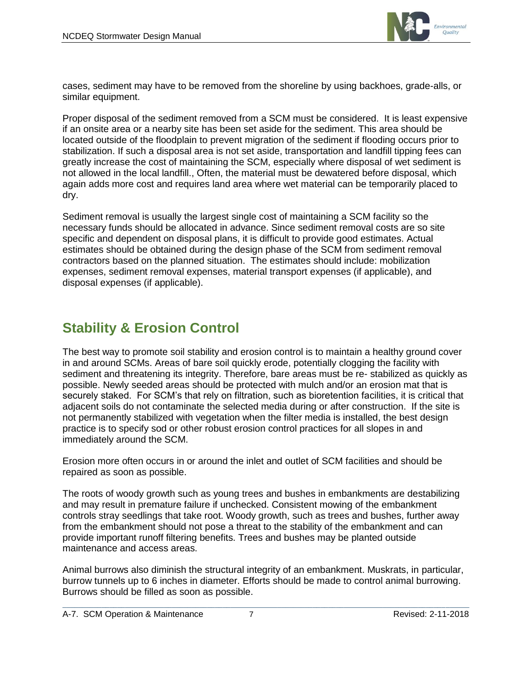

cases, sediment may have to be removed from the shoreline by using backhoes, grade-alls, or similar equipment.

Proper disposal of the sediment removed from a SCM must be considered. It is least expensive if an onsite area or a nearby site has been set aside for the sediment. This area should be located outside of the floodplain to prevent migration of the sediment if flooding occurs prior to stabilization. If such a disposal area is not set aside, transportation and landfill tipping fees can greatly increase the cost of maintaining the SCM, especially where disposal of wet sediment is not allowed in the local landfill., Often, the material must be dewatered before disposal, which again adds more cost and requires land area where wet material can be temporarily placed to dry.

Sediment removal is usually the largest single cost of maintaining a SCM facility so the necessary funds should be allocated in advance. Since sediment removal costs are so site specific and dependent on disposal plans, it is difficult to provide good estimates. Actual estimates should be obtained during the design phase of the SCM from sediment removal contractors based on the planned situation. The estimates should include: mobilization expenses, sediment removal expenses, material transport expenses (if applicable), and disposal expenses (if applicable).

# **Stability & Erosion Control**

The best way to promote soil stability and erosion control is to maintain a healthy ground cover in and around SCMs. Areas of bare soil quickly erode, potentially clogging the facility with sediment and threatening its integrity. Therefore, bare areas must be re- stabilized as quickly as possible. Newly seeded areas should be protected with mulch and/or an erosion mat that is securely staked. For SCM's that rely on filtration, such as bioretention facilities, it is critical that adjacent soils do not contaminate the selected media during or after construction. If the site is not permanently stabilized with vegetation when the filter media is installed, the best design practice is to specify sod or other robust erosion control practices for all slopes in and immediately around the SCM.

Erosion more often occurs in or around the inlet and outlet of SCM facilities and should be repaired as soon as possible.

The roots of woody growth such as young trees and bushes in embankments are destabilizing and may result in premature failure if unchecked. Consistent mowing of the embankment controls stray seedlings that take root. Woody growth, such as trees and bushes, further away from the embankment should not pose a threat to the stability of the embankment and can provide important runoff filtering benefits. Trees and bushes may be planted outside maintenance and access areas.

Animal burrows also diminish the structural integrity of an embankment. Muskrats, in particular, burrow tunnels up to 6 inches in diameter. Efforts should be made to control animal burrowing. Burrows should be filled as soon as possible.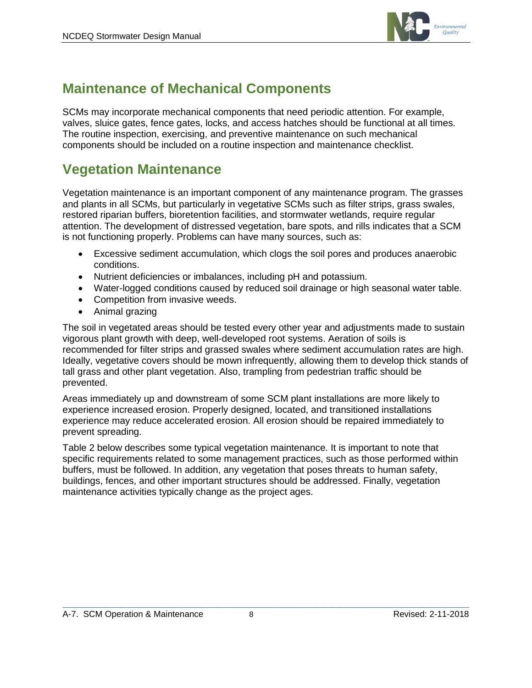

# **Maintenance of Mechanical Components**

SCMs may incorporate mechanical components that need periodic attention. For example, valves, sluice gates, fence gates, locks, and access hatches should be functional at all times. The routine inspection, exercising, and preventive maintenance on such mechanical components should be included on a routine inspection and maintenance checklist.

# **Vegetation Maintenance**

Vegetation maintenance is an important component of any maintenance program. The grasses and plants in all SCMs, but particularly in vegetative SCMs such as filter strips, grass swales, restored riparian buffers, bioretention facilities, and stormwater wetlands, require regular attention. The development of distressed vegetation, bare spots, and rills indicates that a SCM is not functioning properly. Problems can have many sources, such as:

- Excessive sediment accumulation, which clogs the soil pores and produces anaerobic conditions.
- Nutrient deficiencies or imbalances, including pH and potassium.
- Water-logged conditions caused by reduced soil drainage or high seasonal water table.
- Competition from invasive weeds.
- Animal grazing

The soil in vegetated areas should be tested every other year and adjustments made to sustain vigorous plant growth with deep, well-developed root systems. Aeration of soils is recommended for filter strips and grassed swales where sediment accumulation rates are high. Ideally, vegetative covers should be mown infrequently, allowing them to develop thick stands of tall grass and other plant vegetation. Also, trampling from pedestrian traffic should be prevented.

Areas immediately up and downstream of some SCM plant installations are more likely to experience increased erosion. Properly designed, located, and transitioned installations experience may reduce accelerated erosion. All erosion should be repaired immediately to prevent spreading.

Table 2 below describes some typical vegetation maintenance. It is important to note that specific requirements related to some management practices, such as those performed within buffers, must be followed. In addition, any vegetation that poses threats to human safety, buildings, fences, and other important structures should be addressed. Finally, vegetation maintenance activities typically change as the project ages.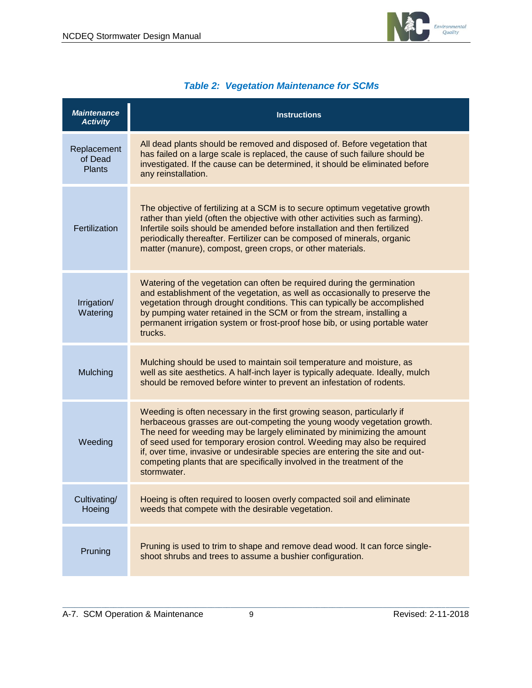

#### *Table 2: Vegetation Maintenance for SCMs*

| <b>Maintenance</b><br><b>Activity</b>   | <b>Instructions</b>                                                                                                                                                                                                                                                                                                                                                                                                                                                                  |
|-----------------------------------------|--------------------------------------------------------------------------------------------------------------------------------------------------------------------------------------------------------------------------------------------------------------------------------------------------------------------------------------------------------------------------------------------------------------------------------------------------------------------------------------|
| Replacement<br>of Dead<br><b>Plants</b> | All dead plants should be removed and disposed of. Before vegetation that<br>has failed on a large scale is replaced, the cause of such failure should be<br>investigated. If the cause can be determined, it should be eliminated before<br>any reinstallation.                                                                                                                                                                                                                     |
| Fertilization                           | The objective of fertilizing at a SCM is to secure optimum vegetative growth<br>rather than yield (often the objective with other activities such as farming).<br>Infertile soils should be amended before installation and then fertilized<br>periodically thereafter. Fertilizer can be composed of minerals, organic<br>matter (manure), compost, green crops, or other materials.                                                                                                |
| Irrigation/<br>Watering                 | Watering of the vegetation can often be required during the germination<br>and establishment of the vegetation, as well as occasionally to preserve the<br>vegetation through drought conditions. This can typically be accomplished<br>by pumping water retained in the SCM or from the stream, installing a<br>permanent irrigation system or frost-proof hose bib, or using portable water<br>trucks.                                                                             |
| Mulching                                | Mulching should be used to maintain soil temperature and moisture, as<br>well as site aesthetics. A half-inch layer is typically adequate. Ideally, mulch<br>should be removed before winter to prevent an infestation of rodents.                                                                                                                                                                                                                                                   |
| Weeding                                 | Weeding is often necessary in the first growing season, particularly if<br>herbaceous grasses are out-competing the young woody vegetation growth.<br>The need for weeding may be largely eliminated by minimizing the amount<br>of seed used for temporary erosion control. Weeding may also be required<br>if, over time, invasive or undesirable species are entering the site and out-<br>competing plants that are specifically involved in the treatment of the<br>stormwater. |
| Cultivating/<br>Hoeing                  | Hoeing is often required to loosen overly compacted soil and eliminate<br>weeds that compete with the desirable vegetation.                                                                                                                                                                                                                                                                                                                                                          |
| Pruning                                 | Pruning is used to trim to shape and remove dead wood. It can force single-<br>shoot shrubs and trees to assume a bushier configuration.                                                                                                                                                                                                                                                                                                                                             |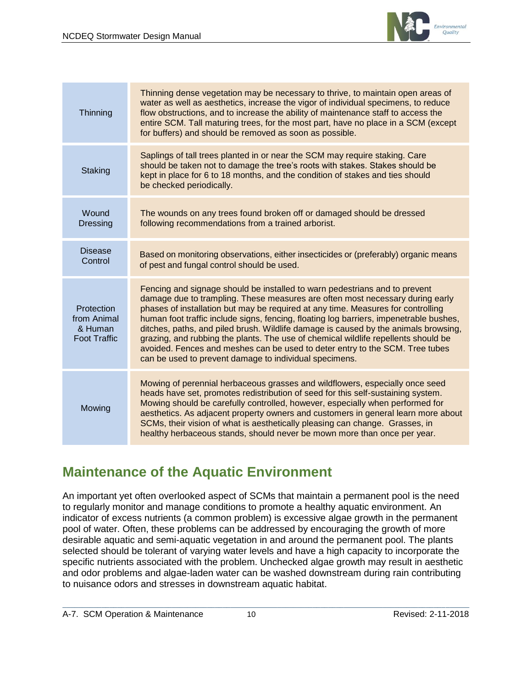

| Thinning                                                    | Thinning dense vegetation may be necessary to thrive, to maintain open areas of<br>water as well as aesthetics, increase the vigor of individual specimens, to reduce<br>flow obstructions, and to increase the ability of maintenance staff to access the<br>entire SCM. Tall maturing trees, for the most part, have no place in a SCM (except<br>for buffers) and should be removed as soon as possible.                                                                                                                                                                                                                                                      |
|-------------------------------------------------------------|------------------------------------------------------------------------------------------------------------------------------------------------------------------------------------------------------------------------------------------------------------------------------------------------------------------------------------------------------------------------------------------------------------------------------------------------------------------------------------------------------------------------------------------------------------------------------------------------------------------------------------------------------------------|
| Staking                                                     | Saplings of tall trees planted in or near the SCM may require staking. Care<br>should be taken not to damage the tree's roots with stakes. Stakes should be<br>kept in place for 6 to 18 months, and the condition of stakes and ties should<br>be checked periodically.                                                                                                                                                                                                                                                                                                                                                                                         |
| Wound<br><b>Dressing</b>                                    | The wounds on any trees found broken off or damaged should be dressed<br>following recommendations from a trained arborist.                                                                                                                                                                                                                                                                                                                                                                                                                                                                                                                                      |
| <b>Disease</b><br>Control                                   | Based on monitoring observations, either insecticides or (preferably) organic means<br>of pest and fungal control should be used.                                                                                                                                                                                                                                                                                                                                                                                                                                                                                                                                |
| Protection<br>from Animal<br>& Human<br><b>Foot Traffic</b> | Fencing and signage should be installed to warn pedestrians and to prevent<br>damage due to trampling. These measures are often most necessary during early<br>phases of installation but may be required at any time. Measures for controlling<br>human foot traffic include signs, fencing, floating log barriers, impenetrable bushes,<br>ditches, paths, and piled brush. Wildlife damage is caused by the animals browsing,<br>grazing, and rubbing the plants. The use of chemical wildlife repellents should be<br>avoided. Fences and meshes can be used to deter entry to the SCM. Tree tubes<br>can be used to prevent damage to individual specimens. |
| Mowing                                                      | Mowing of perennial herbaceous grasses and wildflowers, especially once seed<br>heads have set, promotes redistribution of seed for this self-sustaining system.<br>Mowing should be carefully controlled, however, especially when performed for<br>aesthetics. As adjacent property owners and customers in general learn more about<br>SCMs, their vision of what is aesthetically pleasing can change. Grasses, in<br>healthy herbaceous stands, should never be mown more than once per year.                                                                                                                                                               |

# **Maintenance of the Aquatic Environment**

An important yet often overlooked aspect of SCMs that maintain a permanent pool is the need to regularly monitor and manage conditions to promote a healthy aquatic environment. An indicator of excess nutrients (a common problem) is excessive algae growth in the permanent pool of water. Often, these problems can be addressed by encouraging the growth of more desirable aquatic and semi-aquatic vegetation in and around the permanent pool. The plants selected should be tolerant of varying water levels and have a high capacity to incorporate the specific nutrients associated with the problem. Unchecked algae growth may result in aesthetic and odor problems and algae-laden water can be washed downstream during rain contributing to nuisance odors and stresses in downstream aquatic habitat.